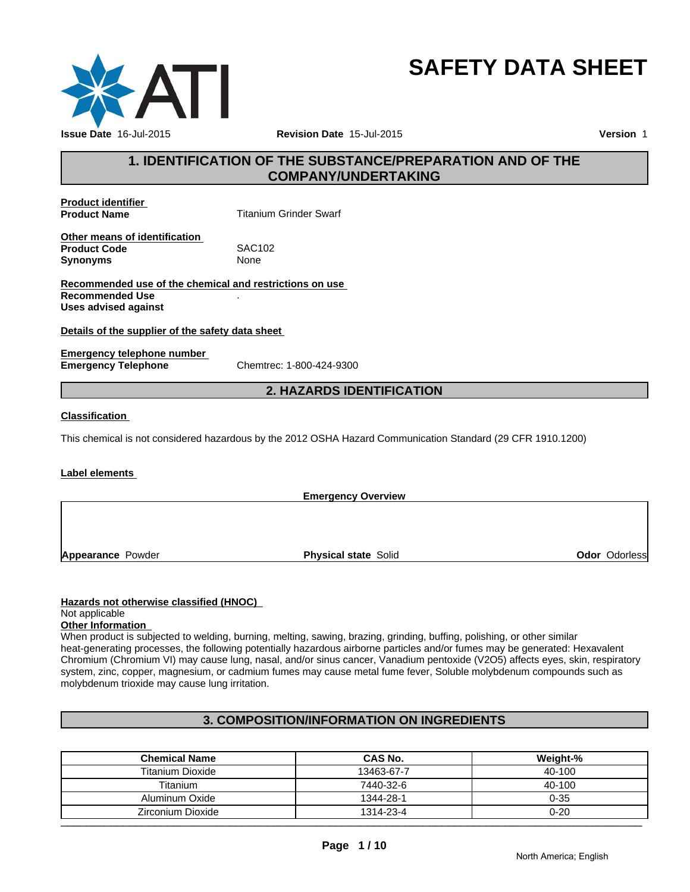

## **SAFETY DATA SHEET**

#### **1. IDENTIFICATION OF THE SUBSTANCE/PREPARATION AND OF THE COMPANY/UNDERTAKING**

**Product identifier** 

**Product Name** Titanium Grinder Swarf

**Other means of identification**<br>**Product Code SAC102 Product Code** SAC1<br> **Synonyms** None **Synonyms** 

**Recommended use of the chemical and restrictions on use Recommended Use** . **Uses advised against**

#### **Details of the supplier of the safety data sheet**

**Emergency telephone number Emergency Telephone** Chemtrec: 1-800-424-9300

#### **2. HAZARDS IDENTIFICATION**

#### **Classification**

This chemical is not considered hazardous by the 2012 OSHA Hazard Communication Standard (29 CFR 1910.1200)

#### **Label elements**

**Emergency Overview Appearance** Powder **Physical state Solid Contract Contract Contract Contract Contract Contract Contract Contract Contract Contract Contract Contract Contract Contract Contract Contract Contract Contract Contract Contract Contract Contract Co** 

#### **Hazards not otherwise classified (HNOC)**

#### Not applicable

#### **Other Information**

When product is subjected to welding, burning, melting, sawing, brazing, grinding, buffing, polishing, or other similar heat-generating processes, the following potentially hazardous airborne particles and/or fumes may be generated: Hexavalent Chromium (Chromium VI) may cause lung, nasal, and/or sinus cancer, Vanadium pentoxide (V2O5) affects eyes, skin, respiratory system, zinc, copper, magnesium, or cadmium fumes may cause metal fume fever, Soluble molybdenum compounds such as molybdenum trioxide may cause lung irritation.

#### **3. COMPOSITION/INFORMATION ON INGREDIENTS**

| <b>Chemical Name</b>    | <b>CAS No.</b> | Weight-% |
|-------------------------|----------------|----------|
| <b>Titanium Dioxide</b> | 13463-67-7     | 40-100   |
| Titanium                | 7440-32-6      | 40-100   |
| Aluminum Oxide          | 1344-28-1      | $0 - 35$ |
| Zirconium Dioxide       | 1314-23-4      | $0 - 20$ |
|                         |                |          |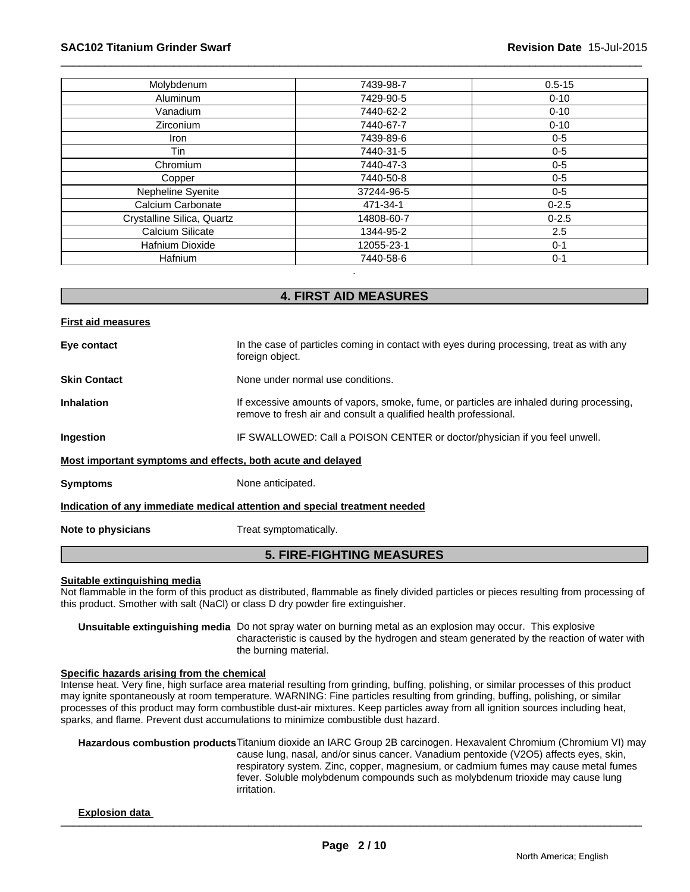| Molybdenum                 | 7439-98-7  | $0.5 - 15$ |
|----------------------------|------------|------------|
| Aluminum                   | 7429-90-5  | $0 - 10$   |
| Vanadium                   | 7440-62-2  | $0 - 10$   |
| <b>Zirconium</b>           | 7440-67-7  | $0 - 10$   |
| Iron                       | 7439-89-6  | $0 - 5$    |
| Tin                        | 7440-31-5  | $0-5$      |
| Chromium                   | 7440-47-3  | $0-5$      |
| Copper                     | 7440-50-8  | $0 - 5$    |
| Nepheline Syenite          | 37244-96-5 | $0-5$      |
| Calcium Carbonate          | 471-34-1   | $0 - 2.5$  |
| Crystalline Silica, Quartz | 14808-60-7 | $0 - 2.5$  |
| Calcium Silicate           | 1344-95-2  | 2.5        |
| Hafnium Dioxide            | 12055-23-1 | $0 - 1$    |
| <b>Hafnium</b>             | 7440-58-6  | $0 - 1$    |

#### **4. FIRST AID MEASURES**

| <b>First aid measures</b> |                                                                                                                                                              |
|---------------------------|--------------------------------------------------------------------------------------------------------------------------------------------------------------|
| Eye contact               | In the case of particles coming in contact with eyes during processing, treat as with any<br>foreign object.                                                 |
| <b>Skin Contact</b>       | None under normal use conditions.                                                                                                                            |
| <b>Inhalation</b>         | If excessive amounts of vapors, smoke, fume, or particles are inhaled during processing,<br>remove to fresh air and consult a qualified health professional. |
| Ingestion                 | IF SWALLOWED: Call a POISON CENTER or doctor/physician if you feel unwell.                                                                                   |
|                           | Most important symptoms and effects, both acute and delayed                                                                                                  |
| <b>Symptoms</b>           | None anticipated.                                                                                                                                            |
|                           | Indication of any immediate medical attention and special treatment needed                                                                                   |
| Note to physicians        | Treat symptomatically.                                                                                                                                       |
|                           | <b>5. FIRE-FIGHTING MEASURES</b>                                                                                                                             |

#### **Suitable extinguishing media**

Not flammable in the form of this product as distributed, flammable as finely divided particles or pieces resulting from processing of this product. Smother with salt (NaCl) or class D dry powder fire extinguisher.

**Unsuitable extinguishing media** Do not spray water on burning metal as an explosion may occur. This explosive characteristic is caused by the hydrogen and steam generated by the reaction of water with the burning material.

#### **Specific hazards arising from the chemical**

Intense heat. Very fine, high surface area material resulting from grinding, buffing, polishing, or similar processes of this product may ignite spontaneously at room temperature. WARNING: Fine particles resulting from grinding, buffing, polishing, or similar processes of this product may form combustible dust-air mixtures. Keep particles away from all ignition sources including heat, sparks, and flame. Prevent dust accumulations to minimize combustible dust hazard.

**Hazardous combustion products**Titanium dioxide an IARC Group 2B carcinogen. Hexavalent Chromium (Chromium VI) may cause lung, nasal, and/or sinus cancer. Vanadium pentoxide (V2O5) affects eyes, skin, respiratory system. Zinc, copper, magnesium, or cadmium fumes may cause metal fumes fever. Soluble molybdenum compounds such as molybdenum trioxide may cause lung irritation.

#### $\frac{1}{2}$  . The second state of the second state of the second state of the second state of the second state of the second state of the second state of the second state of the second state of the second state of the secon **Explosion data**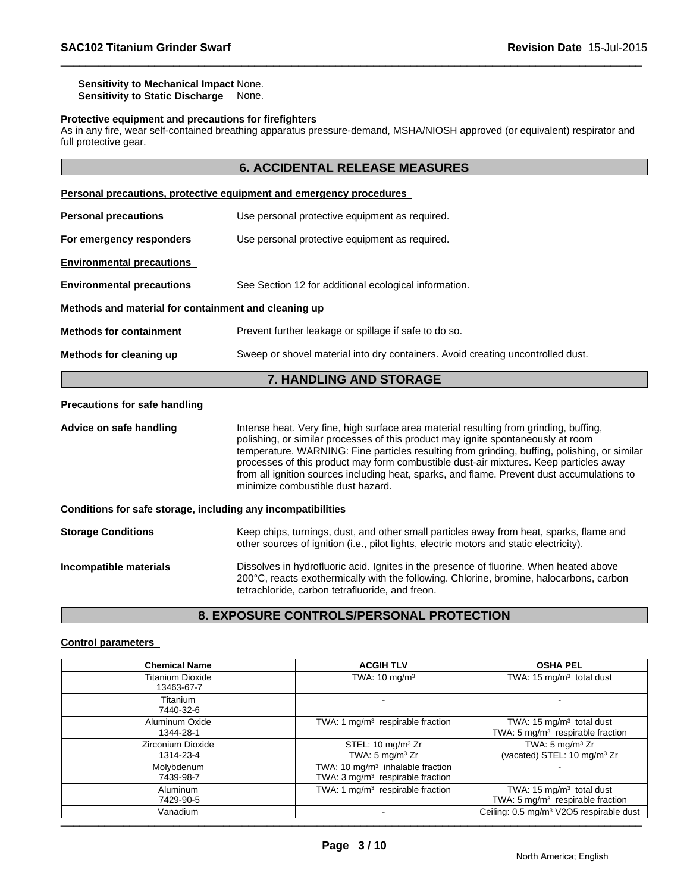#### **Sensitivity to Mechanical Impact** None. **Sensitivity to Static Discharge** None.

#### **Protective equipment and precautions for firefighters**

As in any fire, wear self-contained breathing apparatus pressure-demand, MSHA/NIOSH approved (or equivalent) respirator and full protective gear.

### **6. ACCIDENTAL RELEASE MEASURES**

|                                                                                                            | Personal precautions, protective equipment and emergency procedures |  |  |
|------------------------------------------------------------------------------------------------------------|---------------------------------------------------------------------|--|--|
| <b>Personal precautions</b>                                                                                | Use personal protective equipment as required.                      |  |  |
| For emergency responders                                                                                   | Use personal protective equipment as required.                      |  |  |
| <b>Environmental precautions</b>                                                                           |                                                                     |  |  |
| <b>Environmental precautions</b>                                                                           | See Section 12 for additional ecological information.               |  |  |
| Methods and material for containment and cleaning up                                                       |                                                                     |  |  |
| <b>Methods for containment</b>                                                                             | Prevent further leakage or spillage if safe to do so.               |  |  |
| Sweep or shovel material into dry containers. Avoid creating uncontrolled dust.<br>Methods for cleaning up |                                                                     |  |  |
|                                                                                                            | 7 UILINI ILIA ILIN ATANIAE                                          |  |  |

#### **7. HANDLING AND STORAGE**

#### **Precautions for safe handling**

Advice on safe handling **Intense heat. Very fine, high surface area material resulting from grinding, buffing,** polishing, or similar processes of this product may ignite spontaneously at room temperature. WARNING: Fine particles resulting from grinding, buffing, polishing, or similar processes of this product may form combustible dust-air mixtures. Keep particles away from all ignition sources including heat, sparks, and flame. Prevent dust accumulations to minimize combustible dust hazard.

#### **Conditions for safe storage, including any incompatibilities**

**Storage Conditions** Keep chips, turnings, dust, and other small particles away from heat, sparks, flame and other sources of ignition (i.e., pilot lights, electric motors and static electricity). **Incompatible materials Dissolves in hydrofluoric acid. Ignites in the presence of fluorine. When heated above** 200°C, reacts exothermically with the following. Chlorine, bromine, halocarbons, carbon tetrachloride, carbon tetrafluoride, and freon.

#### **8. EXPOSURE CONTROLS/PERSONAL PROTECTION**

#### **Control parameters**

| <b>Chemical Name</b>                  | <b>ACGIH TLV</b>                                                                            | <b>OSHA PEL</b>                                                            |
|---------------------------------------|---------------------------------------------------------------------------------------------|----------------------------------------------------------------------------|
| <b>Titanium Dioxide</b><br>13463-67-7 | TWA: $10 \text{ mg/m}^3$                                                                    | TWA: 15 $mg/m3$ total dust                                                 |
| Titanium<br>7440-32-6                 |                                                                                             |                                                                            |
| Aluminum Oxide<br>1344-28-1           | TWA: 1 $mg/m3$ respirable fraction                                                          | TWA: 15 $mg/m3$ total dust<br>TWA: $5 \text{ mg/m}^3$ respirable fraction  |
| Zirconium Dioxide<br>1314-23-4        | STEL: 10 mg/m <sup>3</sup> Zr<br>TWA: 5 $mg/m3 Zr$                                          | TWA: $5 \text{ mg/m}^3$ Zr<br>(vacated) STEL: 10 mg/m <sup>3</sup> Zr      |
| Molybdenum<br>7439-98-7               | TWA: 10 mg/m <sup>3</sup> inhalable fraction<br>TWA: $3 \text{ mg/m}^3$ respirable fraction |                                                                            |
| Aluminum<br>7429-90-5                 | TWA: 1 mg/m <sup>3</sup> respirable fraction                                                | TWA: 15 $mg/m3$ total dust<br>TWA: 5 mg/m <sup>3</sup> respirable fraction |
| Vanadium                              |                                                                                             | Ceiling: 0.5 mg/m <sup>3</sup> V2O5 respirable dust                        |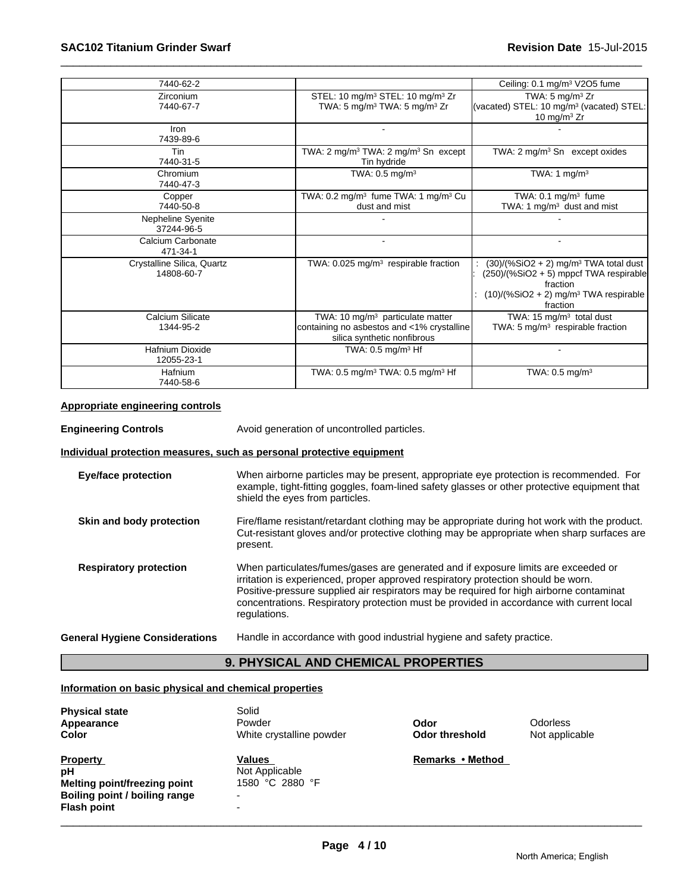| 7440-62-2                                |                                                                                                                           | Ceiling: 0.1 mg/m <sup>3</sup> V2O5 fume                                                                                                                                     |
|------------------------------------------|---------------------------------------------------------------------------------------------------------------------------|------------------------------------------------------------------------------------------------------------------------------------------------------------------------------|
| Zirconium                                | STEL: 10 mg/m <sup>3</sup> STEL: 10 mg/m <sup>3</sup> Zr                                                                  | TWA: $5 \text{ mg/m}^3$ Zr                                                                                                                                                   |
| 7440-67-7                                | TWA: 5 mg/m <sup>3</sup> TWA: 5 mg/m <sup>3</sup> Zr                                                                      | (vacated) STEL: 10 mg/m <sup>3</sup> (vacated) STEL:<br>10 mg/m $3$ Zr                                                                                                       |
| Iron<br>7439-89-6                        |                                                                                                                           |                                                                                                                                                                              |
| Tin<br>7440-31-5                         | TWA: 2 mg/m <sup>3</sup> TWA: 2 mg/m <sup>3</sup> Sn except<br>Tin hydride                                                | TWA: $2 \text{ mg/m}^3$ Sn except oxides                                                                                                                                     |
| Chromium<br>7440-47-3                    | TWA: $0.5$ mg/m <sup>3</sup>                                                                                              | TWA: 1 mg/m <sup>3</sup>                                                                                                                                                     |
| Copper<br>7440-50-8                      | TWA: 0.2 mg/m <sup>3</sup> fume TWA: 1 mg/m <sup>3</sup> Cu<br>dust and mist                                              | TWA: 0.1 mg/m <sup>3</sup> fume<br>TWA: 1 mg/m <sup>3</sup> dust and mist                                                                                                    |
| Nepheline Syenite<br>37244-96-5          |                                                                                                                           |                                                                                                                                                                              |
| Calcium Carbonate<br>471-34-1            |                                                                                                                           |                                                                                                                                                                              |
| Crystalline Silica, Quartz<br>14808-60-7 | TWA: 0.025 mg/m <sup>3</sup> respirable fraction                                                                          | $(30)/(%SiO2 + 2)$ mg/m <sup>3</sup> TWA total dust<br>(250)/(%SiO2 + 5) mppcf TWA respirable<br>fraction<br>$(10)/(%SiO2 + 2)$ mg/m <sup>3</sup> TWA respirable<br>fraction |
| <b>Calcium Silicate</b><br>1344-95-2     | TWA: 10 mg/m <sup>3</sup> particulate matter<br>containing no asbestos and <1% crystalline<br>silica synthetic nonfibrous | TWA: 15 $mg/m3$ total dust<br>TWA: 5 $mg/m3$ respirable fraction                                                                                                             |
| <b>Hafnium Dioxide</b><br>12055-23-1     | TWA: $0.5 \text{ mg/m}^3$ Hf                                                                                              |                                                                                                                                                                              |
| Hafnium<br>7440-58-6                     | TWA: 0.5 mg/m <sup>3</sup> TWA: 0.5 mg/m <sup>3</sup> Hf                                                                  | TWA: $0.5 \text{ mg/m}^3$                                                                                                                                                    |

#### **Appropriate engineering controls**

**Engineering Controls Avoid generation of uncontrolled particles.** 

#### **Individual protection measures, such as personal protective equipment**

| <b>Eye/face protection</b>            | When airborne particles may be present, appropriate eye protection is recommended. For<br>example, tight-fitting goggles, foam-lined safety glasses or other protective equipment that<br>shield the eyes from particles.                                                                                                                                                      |
|---------------------------------------|--------------------------------------------------------------------------------------------------------------------------------------------------------------------------------------------------------------------------------------------------------------------------------------------------------------------------------------------------------------------------------|
| Skin and body protection              | Fire/flame resistant/retardant clothing may be appropriate during hot work with the product.<br>Cut-resistant gloves and/or protective clothing may be appropriate when sharp surfaces are<br>present.                                                                                                                                                                         |
| <b>Respiratory protection</b>         | When particulates/fumes/gases are generated and if exposure limits are exceeded or<br>irritation is experienced, proper approved respiratory protection should be worn.<br>Positive-pressure supplied air respirators may be required for high airborne contaminat<br>concentrations. Respiratory protection must be provided in accordance with current local<br>regulations. |
| <b>General Hygiene Considerations</b> | Handle in accordance with good industrial hygiene and safety practice.                                                                                                                                                                                                                                                                                                         |

## **9. PHYSICAL AND CHEMICAL PROPERTIES**

#### **Information on basic physical and chemical properties**

| <b>Physical state</b><br>Appearance<br><b>Color</b>                                                                 | Solid<br>Powder<br>White crystalline powder      | Odor<br>Odor threshold | <b>Odorless</b><br>Not applicable |  |
|---------------------------------------------------------------------------------------------------------------------|--------------------------------------------------|------------------------|-----------------------------------|--|
| <b>Property</b><br>рH<br><b>Melting point/freezing point</b><br>Boiling point / boiling range<br><b>Flash point</b> | Values<br>Not Applicable<br>1580 °C 2880 °F<br>- | Remarks • Method       |                                   |  |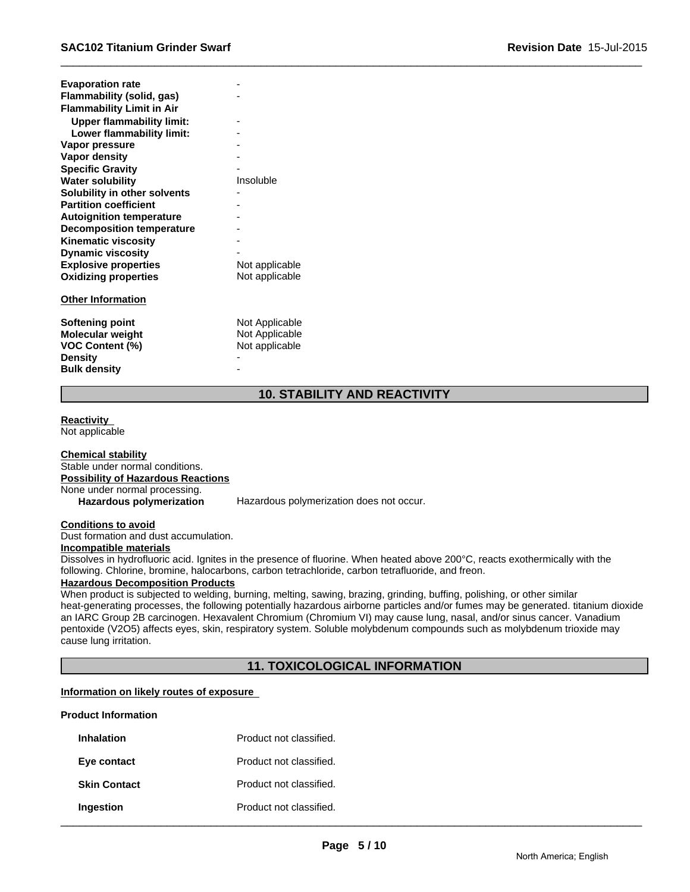| <b>Evaporation rate</b>          |                |
|----------------------------------|----------------|
| Flammability (solid, gas)        |                |
| <b>Flammability Limit in Air</b> |                |
| <b>Upper flammability limit:</b> |                |
| Lower flammability limit:        |                |
| Vapor pressure                   |                |
| <b>Vapor density</b>             |                |
| <b>Specific Gravity</b>          |                |
| <b>Water solubility</b>          | Insoluble      |
| Solubility in other solvents     |                |
| <b>Partition coefficient</b>     |                |
| <b>Autoignition temperature</b>  |                |
| <b>Decomposition temperature</b> |                |
| <b>Kinematic viscosity</b>       |                |
| <b>Dynamic viscosity</b>         |                |
| <b>Explosive properties</b>      | Not applicable |
| <b>Oxidizing properties</b>      | Not applicable |
| <b>Other Information</b>         |                |
| Softening point                  | Not Applicable |
| <b>Molecular weight</b>          | Not Applicable |
| VOC Content (%)                  | Not applicable |
| <b>Density</b>                   |                |
| <b>Bulk density</b>              |                |

#### **10. STABILITY AND REACTIVITY**

#### **Reactivity**

Not applicable

**Chemical stability** Stable under normal conditions. **Possibility of Hazardous Reactions** None under normal processing.<br>Hazardous polymerization

Hazardous polymerization does not occur.

#### **Conditions to avoid**

Dust formation and dust accumulation. **Incompatible materials**

Dissolves in hydrofluoric acid. Ignites in the presence of fluorine. When heated above 200°C, reacts exothermically with the following. Chlorine, bromine, halocarbons, carbon tetrachloride, carbon tetrafluoride, and freon.

#### **Hazardous Decomposition Products**

When product is subjected to welding, burning, melting, sawing, brazing, grinding, buffing, polishing, or other similar heat-generating processes, the following potentially hazardous airborne particles and/or fumes may be generated. titanium dioxide an IARC Group 2B carcinogen. Hexavalent Chromium (Chromium VI) may cause lung, nasal, and/or sinus cancer. Vanadium pentoxide (V2O5) affects eyes, skin, respiratory system. Soluble molybdenum compounds such as molybdenum trioxide may cause lung irritation.

#### **11. TOXICOLOGICAL INFORMATION**

#### **Information on likely routes of exposure**

#### **Product Information**

| Inhalation          | Product not classified. |
|---------------------|-------------------------|
| Eye contact         | Product not classified. |
| <b>Skin Contact</b> | Product not classified. |
| Ingestion           | Product not classified. |

 $\_$  ,  $\_$  ,  $\_$  ,  $\_$  ,  $\_$  ,  $\_$  ,  $\_$  ,  $\_$  ,  $\_$  ,  $\_$  ,  $\_$  ,  $\_$  ,  $\_$  ,  $\_$  ,  $\_$  ,  $\_$  ,  $\_$  ,  $\_$  ,  $\_$  ,  $\_$  ,  $\_$  ,  $\_$  ,  $\_$  ,  $\_$  ,  $\_$  ,  $\_$  ,  $\_$  ,  $\_$  ,  $\_$  ,  $\_$  ,  $\_$  ,  $\_$  ,  $\_$  ,  $\_$  ,  $\_$  ,  $\_$  ,  $\_$  ,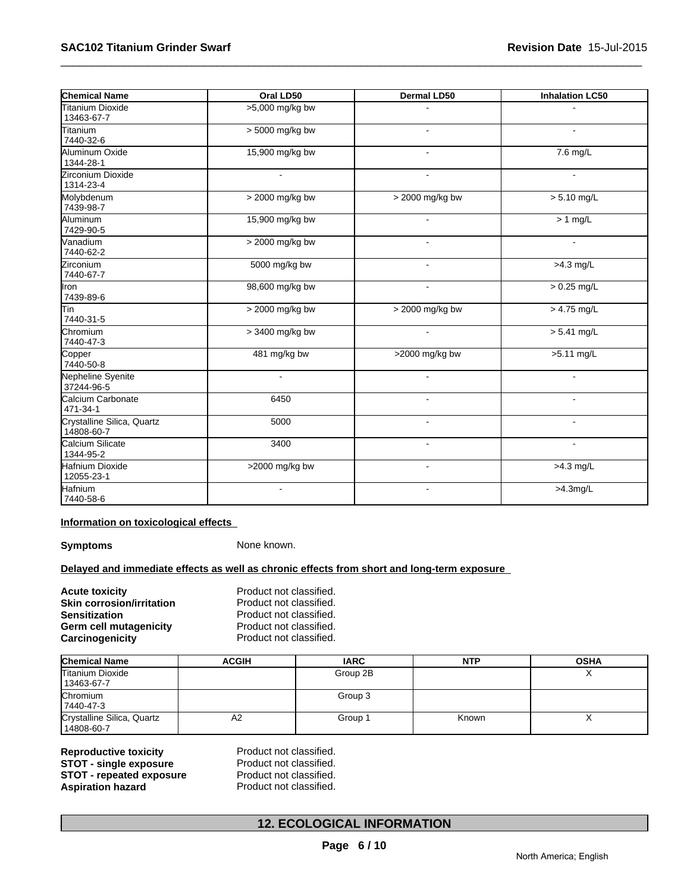| <b>Chemical Name</b>                     | Oral LD50       | Dermal LD50     | <b>Inhalation LC50</b> |
|------------------------------------------|-----------------|-----------------|------------------------|
| Titanium Dioxide<br>13463-67-7           | >5,000 mg/kg bw |                 |                        |
| Titanium<br>7440-32-6                    | > 5000 mg/kg bw |                 |                        |
| Aluminum Oxide<br>1344-28-1              | 15,900 mg/kg bw | $\blacksquare$  | 7.6 mg/L               |
| Zirconium Dioxide<br>1314-23-4           |                 | $\sim$          | $\sim$                 |
| Molybdenum<br>7439-98-7                  | > 2000 mg/kg bw | > 2000 mg/kg bw | $> 5.10$ mg/L          |
| Aluminum<br>7429-90-5                    | 15,900 mg/kg bw |                 | $> 1$ mg/L             |
| Vanadium<br>7440-62-2                    | > 2000 mg/kg bw |                 |                        |
| <b>Zirconium</b><br>7440-67-7            | 5000 mg/kg bw   |                 | $>4.3$ mg/L            |
| Iron<br>7439-89-6                        | 98,600 mg/kg bw |                 | $> 0.25$ mg/L          |
| Tin<br>7440-31-5                         | > 2000 mg/kg bw | > 2000 mg/kg bw | $> 4.75$ mg/L          |
| Chromium<br>7440-47-3                    | > 3400 mg/kg bw |                 | $> 5.41$ mg/L          |
| Copper<br>7440-50-8                      | 481 mg/kg bw    | >2000 mg/kg bw  | >5.11 mg/L             |
| Nepheline Syenite<br>37244-96-5          |                 |                 |                        |
| Calcium Carbonate<br>471-34-1            | 6450            |                 |                        |
| Crystalline Silica, Quartz<br>14808-60-7 | 5000            |                 |                        |
| Calcium Silicate<br>1344-95-2            | 3400            | $\sim$          |                        |
| Hafnium Dioxide<br>12055-23-1            | >2000 mg/kg bw  |                 | $>4.3$ mg/L            |
| Hafnium<br>7440-58-6                     |                 |                 | $>4.3$ mg/L            |

#### **Information on toxicological effects**

**Symptoms** None known.

#### **Delayed and immediate effects as well as chronic effects from short and long-term exposure**

| Acute toxicity            | Product not classified. |
|---------------------------|-------------------------|
| Skin corrosion/irritation | Product not classified. |
| Sensitization             | Product not classified. |
| Germ cell mutagenicity    | Product not classified. |
| Carcinogenicity           | Product not classified. |

| <b>Chemical Name</b>                     | <b>ACGIH</b> | <b>IARC</b> | <b>NTP</b> | <b>OSHA</b> |
|------------------------------------------|--------------|-------------|------------|-------------|
| <b>Titanium Dioxide</b><br>13463-67-7    |              | Group 2B    |            |             |
| Chromium<br>7440-47-3                    |              | Group 3     |            |             |
| Crystalline Silica, Quartz<br>14808-60-7 | A2           | Group 1     | Known      | $\lambda$   |

**Reproductive toxicity** Product not classified. **STOT - single exposure** Product not classified.<br> **STOT - repeated exposure** Product not classified. **STOT - repeated exposure** Product not classified.<br> **Aspiration hazard** Product not classified.

## \_\_\_\_\_\_\_\_\_\_\_\_\_\_\_\_\_\_\_\_\_\_\_\_\_\_\_\_\_\_\_\_\_\_\_\_\_\_\_\_\_\_\_\_\_\_\_\_\_\_\_\_\_\_\_\_\_\_\_\_\_\_\_\_\_\_\_\_\_\_\_\_\_\_\_\_\_\_\_\_\_\_\_\_\_\_\_\_\_\_\_\_\_ **Aspiration hazard** Product not classified. **12. ECOLOGICAL INFORMATION**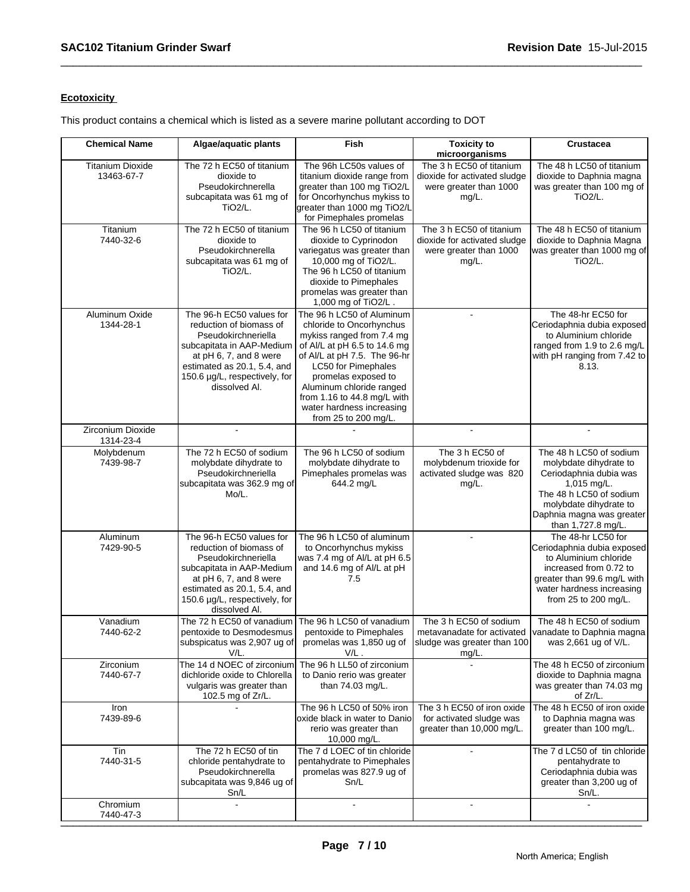#### **Ecotoxicity**

This product contains a chemical which is listed as a severe marine pollutant according to DOT

| <b>Chemical Name</b>                  | Algae/aquatic plants                                                                                                                                                                                                 | Fish                                                                                                                                                                                                                                                                                                             | <b>Toxicity to</b><br>microorganisms                                                           | Crustacea                                                                                                                                                                                          |
|---------------------------------------|----------------------------------------------------------------------------------------------------------------------------------------------------------------------------------------------------------------------|------------------------------------------------------------------------------------------------------------------------------------------------------------------------------------------------------------------------------------------------------------------------------------------------------------------|------------------------------------------------------------------------------------------------|----------------------------------------------------------------------------------------------------------------------------------------------------------------------------------------------------|
| <b>Titanium Dioxide</b><br>13463-67-7 | The 72 h EC50 of titanium<br>dioxide to<br>Pseudokirchnerella<br>subcapitata was 61 mg of<br><b>TiO2/L.</b>                                                                                                          | The 96h LC50s values of<br>titanium dioxide range from<br>greater than 100 mg TiO2/L<br>for Oncorhynchus mykiss to<br>greater than 1000 mg TiO2/L<br>for Pimephales promelas                                                                                                                                     | The 3 h EC50 of titanium<br>dioxide for activated sludge<br>were greater than 1000<br>mg/L.    | The 48 h LC50 of titanium<br>dioxide to Daphnia magna<br>was greater than 100 mg of<br>TiO <sub>2</sub> /L.                                                                                        |
| Titanium<br>7440-32-6                 | The 72 h EC50 of titanium<br>dioxide to<br>Pseudokirchnerella<br>subcapitata was 61 mg of<br>TiO <sub>2</sub> /L.                                                                                                    | The 96 h LC50 of titanium<br>dioxide to Cyprinodon<br>variegatus was greater than<br>10,000 mg of TiO2/L.<br>The 96 h LC50 of titanium<br>dioxide to Pimephales<br>promelas was greater than<br>1,000 mg of TiO2/L                                                                                               | The 3 h EC50 of titanium<br>dioxide for activated sludge<br>were greater than 1000<br>$mg/L$ . | The 48 h EC50 of titanium<br>dioxide to Daphnia Magna<br>was greater than 1000 mg of<br>TiO <sub>2</sub> /L.                                                                                       |
| Aluminum Oxide<br>1344-28-1           | The 96-h EC50 values for<br>reduction of biomass of<br>Pseudokirchneriella<br>subcapitata in AAP-Medium<br>at pH 6, 7, and 8 were<br>estimated as 20.1, 5.4, and<br>150.6 µg/L, respectively, for<br>dissolved Al.   | The 96 h LC50 of Aluminum<br>chloride to Oncorhynchus<br>mykiss ranged from 7.4 mg<br>of Al/L at pH 6.5 to 14.6 mg<br>of Al/L at pH 7.5. The 96-hr<br>LC50 for Pimephales<br>promelas exposed to<br>Aluminum chloride ranged<br>from 1.16 to 44.8 mg/L with<br>water hardness increasing<br>from 25 to 200 mg/L. | $\sim$                                                                                         | The 48-hr EC50 for<br>Ceriodaphnia dubia exposed<br>to Aluminium chloride<br>ranged from 1.9 to 2.6 mg/L<br>with pH ranging from 7.42 to<br>8.13.                                                  |
| Zirconium Dioxide<br>1314-23-4        | $\blacksquare$                                                                                                                                                                                                       |                                                                                                                                                                                                                                                                                                                  |                                                                                                |                                                                                                                                                                                                    |
| Molybdenum<br>7439-98-7               | The 72 h EC50 of sodium<br>molybdate dihydrate to<br>Pseudokirchneriella<br>subcapitata was 362.9 mg of<br>Mo/L.                                                                                                     | The 96 h LC50 of sodium<br>molybdate dihydrate to<br>Pimephales promelas was<br>644.2 mg/L                                                                                                                                                                                                                       | The 3 h EC50 of<br>molybdenum trioxide for<br>activated sludge was 820<br>mg/L.                | The 48 h LC50 of sodium<br>molybdate dihydrate to<br>Ceriodaphnia dubia was<br>1,015 mg/L.<br>The 48 h LC50 of sodium<br>molybdate dihydrate to<br>Daphnia magna was greater<br>than 1,727.8 mg/L. |
| Aluminum<br>7429-90-5                 | The 96-h EC50 values for<br>reduction of biomass of<br>Pseudokirchneriella<br>subcapitata in AAP-Medium<br>at $pH$ 6, 7, and 8 were<br>estimated as 20.1, 5.4, and<br>150.6 µg/L, respectively, for<br>dissolved Al. | The 96 h LC50 of aluminum<br>to Oncorhynchus mykiss<br>was 7.4 mg of Al/L at pH 6.5<br>and 14.6 mg of Al/L at pH<br>7.5                                                                                                                                                                                          |                                                                                                | The 48-hr LC50 for<br>Ceriodaphnia dubia exposed<br>to Aluminium chloride<br>increased from 0.72 to<br>greater than 99.6 mg/L with<br>water hardness increasing<br>from 25 to 200 mg/L.            |
| Vanadium<br>7440-62-2                 | The 72 h EC50 of vanadium<br>pentoxide to Desmodesmus<br>subspicatus was 2,907 ug of promelas was 1,850 ug of<br>V/L.                                                                                                | The 96 h LC50 of vanadium<br>pentoxide to Pimephales<br>$V/L$ .                                                                                                                                                                                                                                                  | The 3 h EC50 of sodium<br>sludge was greater than 100<br>$mg/L$ .                              | The 48 h EC50 of sodium<br>metavanadate for activated   vanadate to Daphnia magna<br>was 2,661 ug of V/L.                                                                                          |
| Zirconium<br>7440-67-7                | The 14 d NOEC of zirconium<br>dichloride oxide to Chlorella<br>vulgaris was greater than<br>102.5 mg of Zr/L.                                                                                                        | The 96 h LL50 of zirconium<br>to Danio rerio was greater<br>than 74.03 mg/L.                                                                                                                                                                                                                                     |                                                                                                | The 48 h EC50 of zirconium<br>dioxide to Daphnia magna<br>was greater than 74.03 mg<br>of Zr/L.                                                                                                    |
| Iron<br>7439-89-6                     |                                                                                                                                                                                                                      | The 96 h LC50 of 50% iron<br>oxide black in water to Danio<br>rerio was greater than<br>10,000 mg/L.                                                                                                                                                                                                             | The 3 h EC50 of iron oxide<br>for activated sludge was<br>greater than 10,000 mg/L.            | The 48 h EC50 of iron oxide<br>to Daphnia magna was<br>greater than 100 mg/L.                                                                                                                      |
| Tin<br>7440-31-5                      | The 72 h EC50 of tin<br>chloride pentahydrate to<br>Pseudokirchnerella<br>subcapitata was 9,846 ug of<br>Sn/L                                                                                                        | The 7 d LOEC of tin chloride<br>pentahydrate to Pimephales<br>promelas was 827.9 ug of<br>Sn/L                                                                                                                                                                                                                   |                                                                                                | The 7 d LC50 of tin chloride<br>pentahydrate to<br>Ceriodaphnia dubia was<br>greater than 3,200 ug of<br>Sn/L.                                                                                     |
| Chromium<br>7440-47-3                 |                                                                                                                                                                                                                      |                                                                                                                                                                                                                                                                                                                  |                                                                                                |                                                                                                                                                                                                    |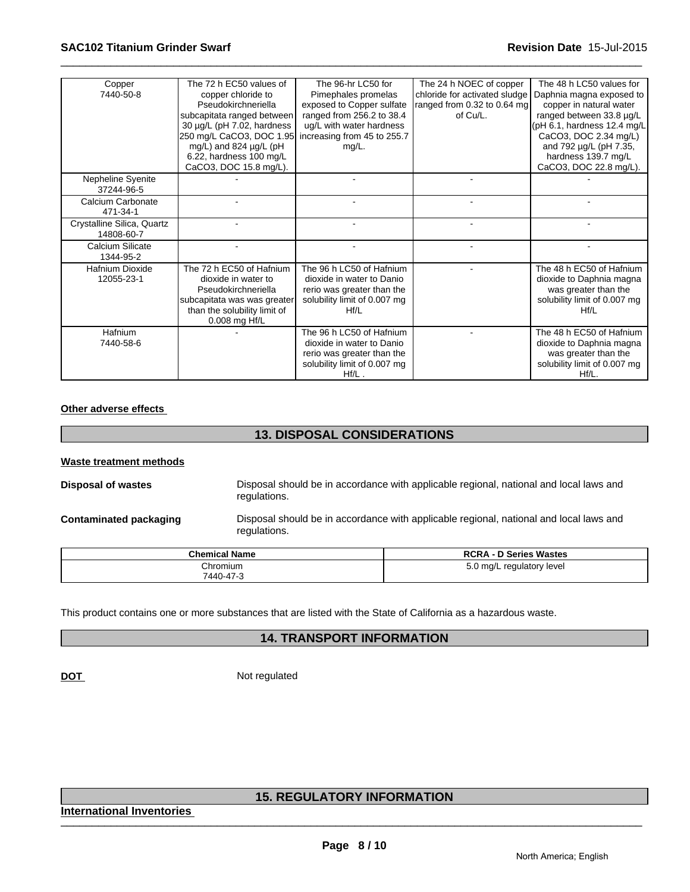| Copper<br>7440-50-8                      | The 72 h EC50 values of<br>copper chloride to<br>Pseudokirchneriella<br>subcapitata ranged between<br>30 µg/L (pH 7.02, hardness<br>250 mg/L CaCO3, DOC 1.95<br>mg/L) and 824 µg/L (pH<br>6.22, hardness 100 mg/L<br>CaCO3, DOC 15.8 mg/L). | The 96-hr LC50 for<br>Pimephales promelas<br>exposed to Copper sulfate<br>ranged from 256.2 to 38.4<br>ug/L with water hardness<br>increasing from 45 to 255.7<br>$mg/L$ . | The 24 h NOEC of copper<br>chloride for activated sludge<br>ranged from 0.32 to 0.64 mg<br>of Cu/L. | The 48 h LC50 values for<br>Daphnia magna exposed to<br>copper in natural water<br>ranged between 33.8 µg/L<br>$(pH 6.1,$ hardness 12.4 mg/L<br>CaCO3, DOC 2.34 mg/L)<br>and 792 µg/L (pH 7.35,<br>hardness 139.7 mg/L<br>CaCO3, DOC 22.8 mg/L). |
|------------------------------------------|---------------------------------------------------------------------------------------------------------------------------------------------------------------------------------------------------------------------------------------------|----------------------------------------------------------------------------------------------------------------------------------------------------------------------------|-----------------------------------------------------------------------------------------------------|--------------------------------------------------------------------------------------------------------------------------------------------------------------------------------------------------------------------------------------------------|
| Nepheline Syenite<br>37244-96-5          |                                                                                                                                                                                                                                             |                                                                                                                                                                            |                                                                                                     |                                                                                                                                                                                                                                                  |
| Calcium Carbonate<br>471-34-1            |                                                                                                                                                                                                                                             |                                                                                                                                                                            |                                                                                                     |                                                                                                                                                                                                                                                  |
| Crystalline Silica, Quartz<br>14808-60-7 |                                                                                                                                                                                                                                             |                                                                                                                                                                            |                                                                                                     |                                                                                                                                                                                                                                                  |
| Calcium Silicate<br>1344-95-2            |                                                                                                                                                                                                                                             |                                                                                                                                                                            |                                                                                                     |                                                                                                                                                                                                                                                  |
| <b>Hafnium Dioxide</b><br>12055-23-1     | The 72 h EC50 of Hafnium<br>dioxide in water to<br>Pseudokirchneriella<br>subcapitata was was greater<br>than the solubility limit of<br>0.008 mg Hf/L                                                                                      | The 96 h LC50 of Hafnium<br>dioxide in water to Danio<br>rerio was greater than the<br>solubility limit of 0.007 mg<br>Hf/L                                                |                                                                                                     | The 48 h EC50 of Hafnium<br>dioxide to Daphnia magna<br>was greater than the<br>solubility limit of 0.007 mg<br>Hf/L                                                                                                                             |
| Hafnium<br>7440-58-6                     |                                                                                                                                                                                                                                             | The 96 h LC50 of Hafnium<br>dioxide in water to Danio<br>rerio was greater than the<br>solubility limit of 0.007 mg<br>$Hf/L$ .                                            |                                                                                                     | The 48 h EC50 of Hafnium<br>dioxide to Daphnia magna<br>was greater than the<br>solubility limit of 0.007 mg<br>Hf/L.                                                                                                                            |

#### **Other adverse effects**

#### **13. DISPOSAL CONSIDERATIONS**

#### **Waste treatment methods**

**Disposal of wastes** Disposal should be in accordance with applicable regional, national and local laws and regulations.

**Contaminated packaging** Disposal should be in accordance with applicable regional, national and local laws and regulations.

| <b>Chemical Name</b> | <b>RCRA - D Series Wastes</b> |
|----------------------|-------------------------------|
| Chromium             | $5.0 \text{ mg/L}$            |
| 7440-47-3            | regulatory level              |

This product contains one or more substances that are listed with the State of California as a hazardous waste.

#### **14. TRANSPORT INFORMATION**

**DOT** Not regulated

# \_\_\_\_\_\_\_\_\_\_\_\_\_\_\_\_\_\_\_\_\_\_\_\_\_\_\_\_\_\_\_\_\_\_\_\_\_\_\_\_\_\_\_\_\_\_\_\_\_\_\_\_\_\_\_\_\_\_\_\_\_\_\_\_\_\_\_\_\_\_\_\_\_\_\_\_\_\_\_\_\_\_\_\_\_\_\_\_\_\_\_\_\_ **15. REGULATORY INFORMATION**

**International Inventories**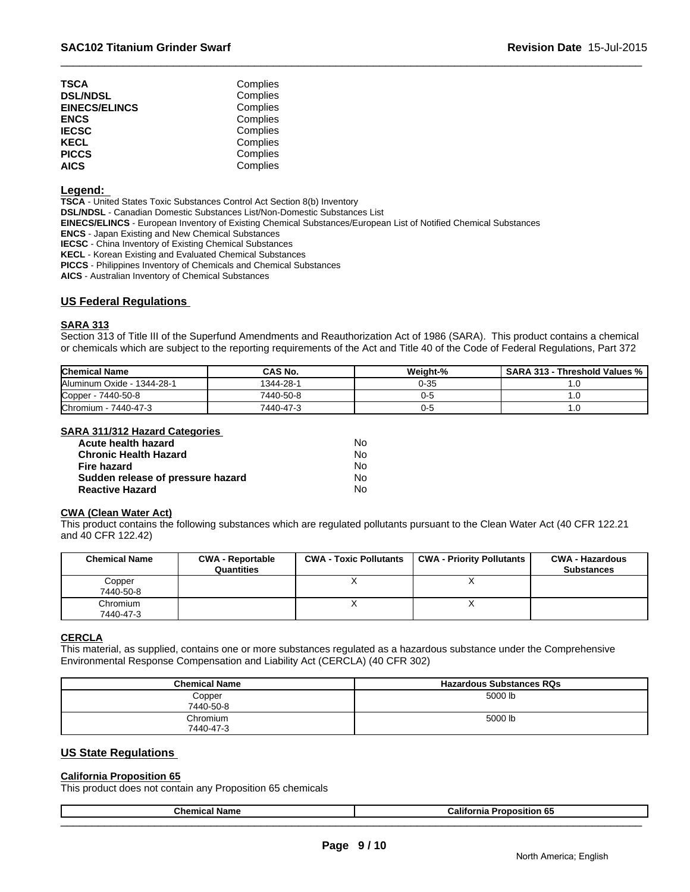| <b>TSCA</b>          | Complies |  |
|----------------------|----------|--|
| <b>DSL/NDSL</b>      | Complies |  |
| <b>EINECS/ELINCS</b> | Complies |  |
| <b>ENCS</b>          | Complies |  |
| <b>IECSC</b>         | Complies |  |
| <b>KECL</b>          | Complies |  |
| <b>PICCS</b>         | Complies |  |
| <b>AICS</b>          | Complies |  |

#### **Legend:**

**TSCA** - United States Toxic Substances Control Act Section 8(b) Inventory

**DSL/NDSL** - Canadian Domestic Substances List/Non-Domestic Substances List

**EINECS/ELINCS** - European Inventory of Existing Chemical Substances/European List of Notified Chemical Substances

**ENCS** - Japan Existing and New Chemical Substances

**IECSC** - China Inventory of Existing Chemical Substances

**KECL** - Korean Existing and Evaluated Chemical Substances

**PICCS** - Philippines Inventory of Chemicals and Chemical Substances

**AICS** - Australian Inventory of Chemical Substances

#### **US Federal Regulations**

#### **SARA 313**

Section 313 of Title III of the Superfund Amendments and Reauthorization Act of 1986 (SARA). This product contains a chemical or chemicals which are subject to the reporting requirements of the Act and Title 40 of the Code of Federal Regulations, Part 372

| <b>Chemical Name</b>               | <b>CAS No.</b> | Weight-% | SARA 313 - Threshold Values % |
|------------------------------------|----------------|----------|-------------------------------|
| Aluminum Oxide<br>1344-28-1        | 1344-28-1      | 0-35     | .                             |
| $Copper \cdot$<br>$-7440 - 50 - 8$ | 7440-50-8      | נה ו     | ں ،                           |
| Chromium -<br>7440-47-3            | 7440-47-3      | ט-פ      | ں. ا                          |

#### **SARA 311/312 Hazard Categories**

| Acute health hazard               | N٥ |  |
|-----------------------------------|----|--|
| <b>Chronic Health Hazard</b>      | N٥ |  |
| Fire hazard                       | N٥ |  |
| Sudden release of pressure hazard | N٥ |  |
| <b>Reactive Hazard</b>            | N٥ |  |

#### **CWA (Clean Water Act)**

This product contains the following substances which are regulated pollutants pursuant to the Clean Water Act (40 CFR 122.21 and 40 CFR 122.42)

| <b>Chemical Name</b> | <b>CWA - Reportable</b><br>Quantities | <b>CWA - Toxic Pollutants</b> | <b>CWA - Priority Pollutants</b> | <b>CWA - Hazardous</b><br><b>Substances</b> |
|----------------------|---------------------------------------|-------------------------------|----------------------------------|---------------------------------------------|
| Copper               |                                       |                               |                                  |                                             |
| 7440-50-8            |                                       |                               |                                  |                                             |
| Chromium             |                                       |                               |                                  |                                             |
| 7440-47-3            |                                       |                               |                                  |                                             |

#### **CERCLA**

This material, as supplied, contains one or more substances regulated as a hazardous substance under the Comprehensive Environmental Response Compensation and Liability Act (CERCLA) (40 CFR 302)

| <b>Chemical Name</b>  | <b>Hazardous Substances RQs</b> |
|-----------------------|---------------------------------|
| Copper<br>7440-50-8   | 5000 lb                         |
| Chromium<br>7440-47-3 | 5000 lb                         |

#### **US State Regulations**

| <b>California Proposition 65</b>                           |                                  |  |  |  |  |
|------------------------------------------------------------|----------------------------------|--|--|--|--|
| This product does not contain any Proposition 65 chemicals |                                  |  |  |  |  |
|                                                            |                                  |  |  |  |  |
| <b>Chemical Name</b>                                       | <b>California Proposition 65</b> |  |  |  |  |
|                                                            |                                  |  |  |  |  |